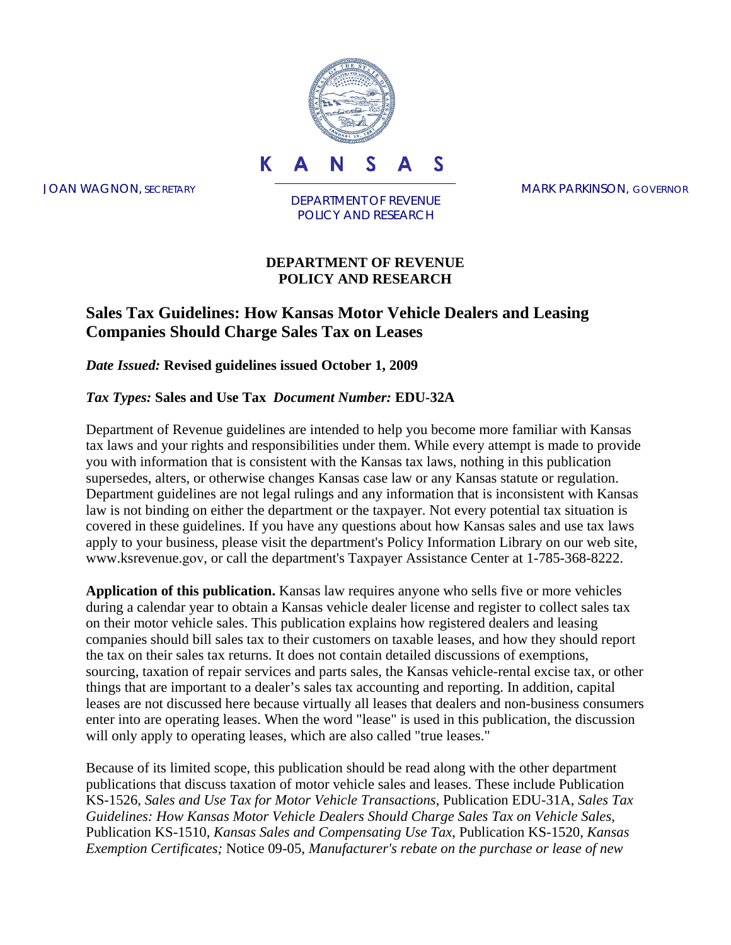

DEPARTMENT OF REVENUE POLICY AND RESEARCH

#### **DEPARTMENT OF REVENUE POLICY AND RESEARCH**

### **Sales Tax Guidelines: How Kansas Motor Vehicle Dealers and Leasing Companies Should Charge Sales Tax on Leases**

*Date Issued:* **Revised guidelines issued October 1, 2009** 

#### *Tax Types:* **Sales and Use Tax** *Document Number:* **EDU-32A**

Department of Revenue guidelines are intended to help you become more familiar with Kansas tax laws and your rights and responsibilities under them. While every attempt is made to provide you with information that is consistent with the Kansas tax laws, nothing in this publication supersedes, alters, or otherwise changes Kansas case law or any Kansas statute or regulation. Department guidelines are not legal rulings and any information that is inconsistent with Kansas law is not binding on either the department or the taxpayer. Not every potential tax situation is covered in these guidelines. If you have any questions about how Kansas sales and use tax laws apply to your business, please visit the department's Policy Information Library on our web site, www.ksrevenue.gov, or call the department's Taxpayer Assistance Center at 1-785-368-8222.

**Application of this publication.** Kansas law requires anyone who sells five or more vehicles during a calendar year to obtain a Kansas vehicle dealer license and register to collect sales tax on their motor vehicle sales. This publication explains how registered dealers and leasing companies should bill sales tax to their customers on taxable leases, and how they should report the tax on their sales tax returns. It does not contain detailed discussions of exemptions, sourcing, taxation of repair services and parts sales, the Kansas vehicle-rental excise tax, or other things that are important to a dealer's sales tax accounting and reporting. In addition, capital leases are not discussed here because virtually all leases that dealers and non-business consumers enter into are operating leases. When the word "lease" is used in this publication, the discussion will only apply to operating leases, which are also called "true leases."

Because of its limited scope, this publication should be read along with the other department publications that discuss taxation of motor vehicle sales and leases. These include Publication KS-1526, *Sales and Use Tax for Motor Vehicle Transactions*, Publication EDU-31A, *Sales Tax Guidelines: How Kansas Motor Vehicle Dealers Should Charge Sales Tax on Vehicle Sales*, Publication KS-1510, *Kansas Sales and Compensating Use Tax*, Publication KS-1520, *Kansas Exemption Certificates;* Notice 09-05, *Manufacturer's rebate on the purchase or lease of new*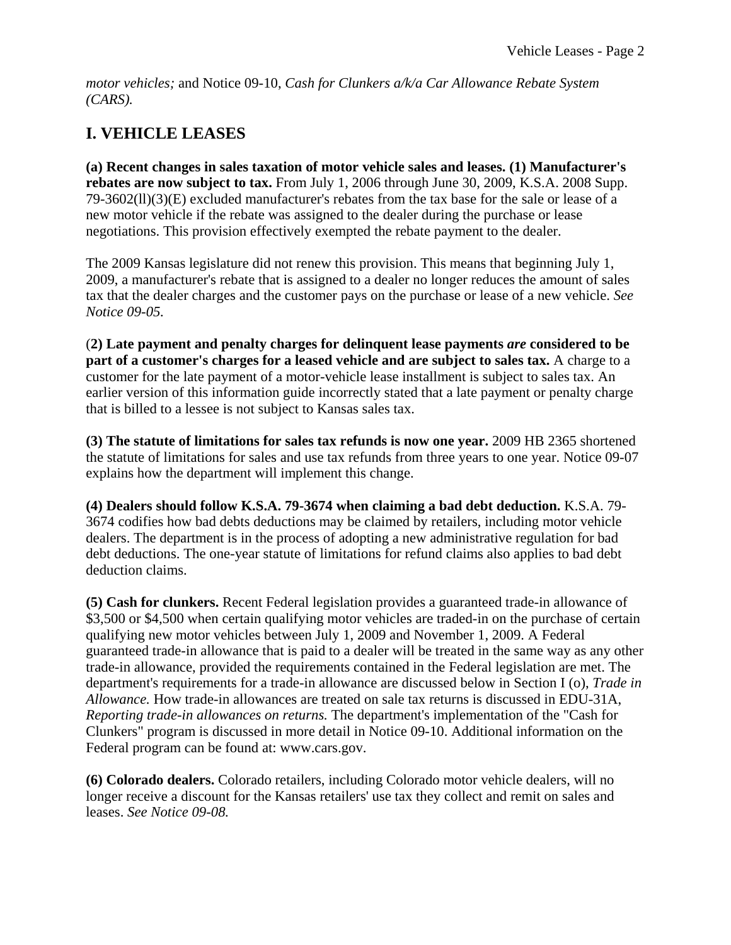*motor vehicles;* and Notice 09-10, *Cash for Clunkers a/k/a Car Allowance Rebate System (CARS).*

# **I. VEHICLE LEASES**

**(a) Recent changes in sales taxation of motor vehicle sales and leases. (1) Manufacturer's rebates are now subject to tax.** From July 1, 2006 through June 30, 2009, K.S.A. 2008 Supp. 79-3602(ll)(3)(E) excluded manufacturer's rebates from the tax base for the sale or lease of a new motor vehicle if the rebate was assigned to the dealer during the purchase or lease negotiations. This provision effectively exempted the rebate payment to the dealer.

The 2009 Kansas legislature did not renew this provision. This means that beginning July 1, 2009, a manufacturer's rebate that is assigned to a dealer no longer reduces the amount of sales tax that the dealer charges and the customer pays on the purchase or lease of a new vehicle. *See Notice 09-05.*

(**2) Late payment and penalty charges for delinquent lease payments** *are* **considered to be part of a customer's charges for a leased vehicle and are subject to sales tax.** A charge to a customer for the late payment of a motor-vehicle lease installment is subject to sales tax. An earlier version of this information guide incorrectly stated that a late payment or penalty charge that is billed to a lessee is not subject to Kansas sales tax.

**(3) The statute of limitations for sales tax refunds is now one year.** 2009 HB 2365 shortened the statute of limitations for sales and use tax refunds from three years to one year. Notice 09-07 explains how the department will implement this change.

**(4) Dealers should follow K.S.A. 79-3674 when claiming a bad debt deduction.** K.S.A. 79- 3674 codifies how bad debts deductions may be claimed by retailers, including motor vehicle dealers. The department is in the process of adopting a new administrative regulation for bad debt deductions. The one-year statute of limitations for refund claims also applies to bad debt deduction claims.

**(5) Cash for clunkers.** Recent Federal legislation provides a guaranteed trade-in allowance of \$3,500 or \$4,500 when certain qualifying motor vehicles are traded-in on the purchase of certain qualifying new motor vehicles between July 1, 2009 and November 1, 2009. A Federal guaranteed trade-in allowance that is paid to a dealer will be treated in the same way as any other trade-in allowance, provided the requirements contained in the Federal legislation are met. The department's requirements for a trade-in allowance are discussed below in Section I (o), *Trade in Allowance.* How trade-in allowances are treated on sale tax returns is discussed in EDU-31A, *Reporting trade-in allowances on returns.* The department's implementation of the "Cash for Clunkers" program is discussed in more detail in Notice 09-10. Additional information on the Federal program can be found at: www.cars.gov.

**(6) Colorado dealers.** Colorado retailers, including Colorado motor vehicle dealers, will no longer receive a discount for the Kansas retailers' use tax they collect and remit on sales and leases. *See Notice 09-08.*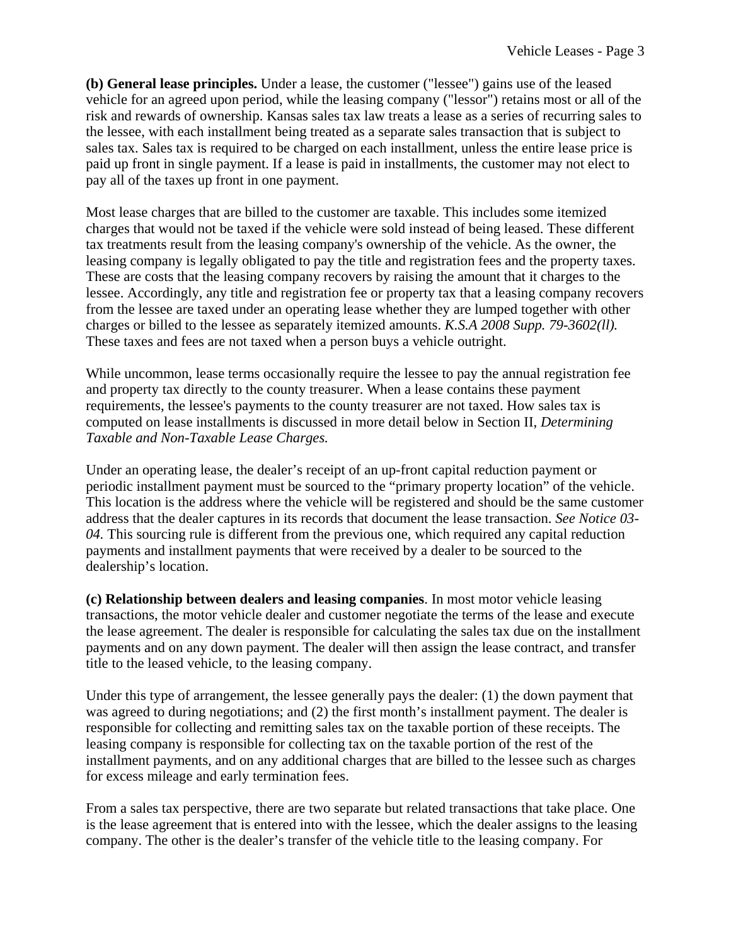**(b) General lease principles.** Under a lease, the customer ("lessee") gains use of the leased vehicle for an agreed upon period, while the leasing company ("lessor") retains most or all of the risk and rewards of ownership. Kansas sales tax law treats a lease as a series of recurring sales to the lessee, with each installment being treated as a separate sales transaction that is subject to sales tax. Sales tax is required to be charged on each installment, unless the entire lease price is paid up front in single payment. If a lease is paid in installments, the customer may not elect to pay all of the taxes up front in one payment.

Most lease charges that are billed to the customer are taxable. This includes some itemized charges that would not be taxed if the vehicle were sold instead of being leased. These different tax treatments result from the leasing company's ownership of the vehicle. As the owner, the leasing company is legally obligated to pay the title and registration fees and the property taxes. These are costs that the leasing company recovers by raising the amount that it charges to the lessee. Accordingly, any title and registration fee or property tax that a leasing company recovers from the lessee are taxed under an operating lease whether they are lumped together with other charges or billed to the lessee as separately itemized amounts. *K.S.A 2008 Supp. 79-3602(ll).* These taxes and fees are not taxed when a person buys a vehicle outright.

While uncommon, lease terms occasionally require the lessee to pay the annual registration fee and property tax directly to the county treasurer. When a lease contains these payment requirements, the lessee's payments to the county treasurer are not taxed. How sales tax is computed on lease installments is discussed in more detail below in Section II, *Determining Taxable and Non-Taxable Lease Charges.*

Under an operating lease, the dealer's receipt of an up-front capital reduction payment or periodic installment payment must be sourced to the "primary property location" of the vehicle. This location is the address where the vehicle will be registered and should be the same customer address that the dealer captures in its records that document the lease transaction. *See Notice 03- 04.* This sourcing rule is different from the previous one, which required any capital reduction payments and installment payments that were received by a dealer to be sourced to the dealership's location.

**(c) Relationship between dealers and leasing companies**. In most motor vehicle leasing transactions, the motor vehicle dealer and customer negotiate the terms of the lease and execute the lease agreement. The dealer is responsible for calculating the sales tax due on the installment payments and on any down payment. The dealer will then assign the lease contract, and transfer title to the leased vehicle, to the leasing company.

Under this type of arrangement, the lessee generally pays the dealer: (1) the down payment that was agreed to during negotiations; and (2) the first month's installment payment. The dealer is responsible for collecting and remitting sales tax on the taxable portion of these receipts. The leasing company is responsible for collecting tax on the taxable portion of the rest of the installment payments, and on any additional charges that are billed to the lessee such as charges for excess mileage and early termination fees.

From a sales tax perspective, there are two separate but related transactions that take place. One is the lease agreement that is entered into with the lessee, which the dealer assigns to the leasing company. The other is the dealer's transfer of the vehicle title to the leasing company. For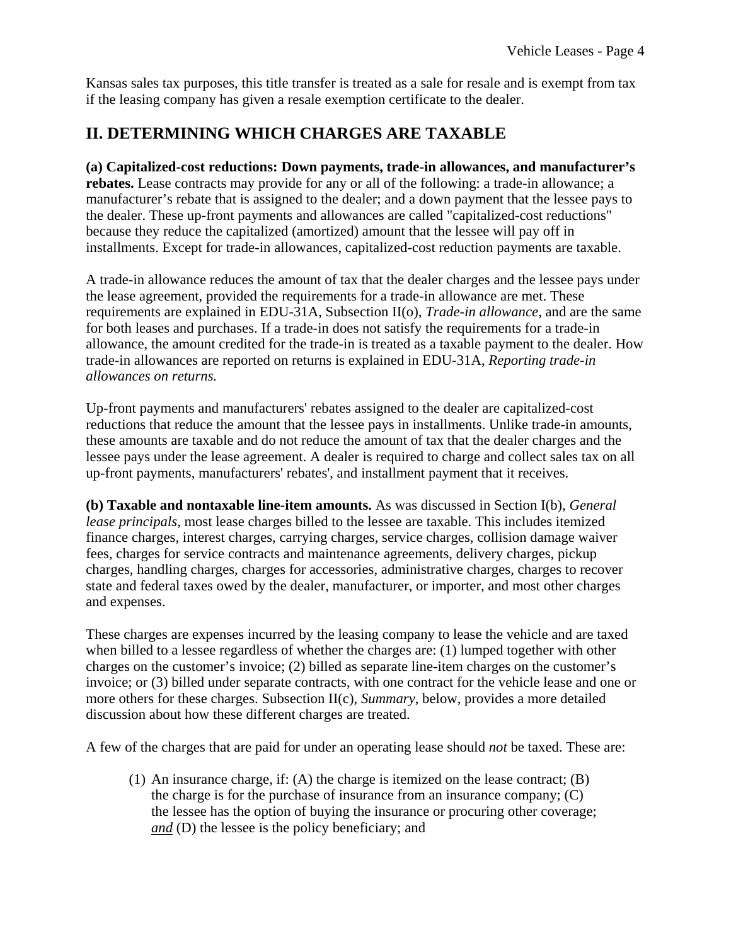Kansas sales tax purposes, this title transfer is treated as a sale for resale and is exempt from tax if the leasing company has given a resale exemption certificate to the dealer.

## **II. DETERMINING WHICH CHARGES ARE TAXABLE**

**(a) Capitalized-cost reductions: Down payments, trade-in allowances, and manufacturer's rebates.** Lease contracts may provide for any or all of the following: a trade-in allowance; a manufacturer's rebate that is assigned to the dealer; and a down payment that the lessee pays to the dealer. These up-front payments and allowances are called "capitalized-cost reductions" because they reduce the capitalized (amortized) amount that the lessee will pay off in installments. Except for trade-in allowances, capitalized-cost reduction payments are taxable.

A trade-in allowance reduces the amount of tax that the dealer charges and the lessee pays under the lease agreement, provided the requirements for a trade-in allowance are met. These requirements are explained in EDU-31A, Subsection II(o), *Trade-in allowance,* and are the same for both leases and purchases. If a trade-in does not satisfy the requirements for a trade-in allowance, the amount credited for the trade-in is treated as a taxable payment to the dealer. How trade-in allowances are reported on returns is explained in EDU-31A, *Reporting trade-in allowances on returns.*

Up-front payments and manufacturers' rebates assigned to the dealer are capitalized-cost reductions that reduce the amount that the lessee pays in installments. Unlike trade-in amounts, these amounts are taxable and do not reduce the amount of tax that the dealer charges and the lessee pays under the lease agreement. A dealer is required to charge and collect sales tax on all up-front payments, manufacturers' rebates', and installment payment that it receives.

**(b) Taxable and nontaxable line-item amounts.** As was discussed in Section I(b), *General lease principals,* most lease charges billed to the lessee are taxable. This includes itemized finance charges, interest charges, carrying charges, service charges, collision damage waiver fees, charges for service contracts and maintenance agreements, delivery charges, pickup charges, handling charges, charges for accessories, administrative charges, charges to recover state and federal taxes owed by the dealer, manufacturer, or importer, and most other charges and expenses.

These charges are expenses incurred by the leasing company to lease the vehicle and are taxed when billed to a lessee regardless of whether the charges are: (1) lumped together with other charges on the customer's invoice; (2) billed as separate line-item charges on the customer's invoice; or (3) billed under separate contracts, with one contract for the vehicle lease and one or more others for these charges. Subsection II(c), *Summary*, below, provides a more detailed discussion about how these different charges are treated.

A few of the charges that are paid for under an operating lease should *not* be taxed. These are:

(1) An insurance charge, if: (A) the charge is itemized on the lease contract; (B) the charge is for the purchase of insurance from an insurance company; (C) the lessee has the option of buying the insurance or procuring other coverage; *and* (D) the lessee is the policy beneficiary; and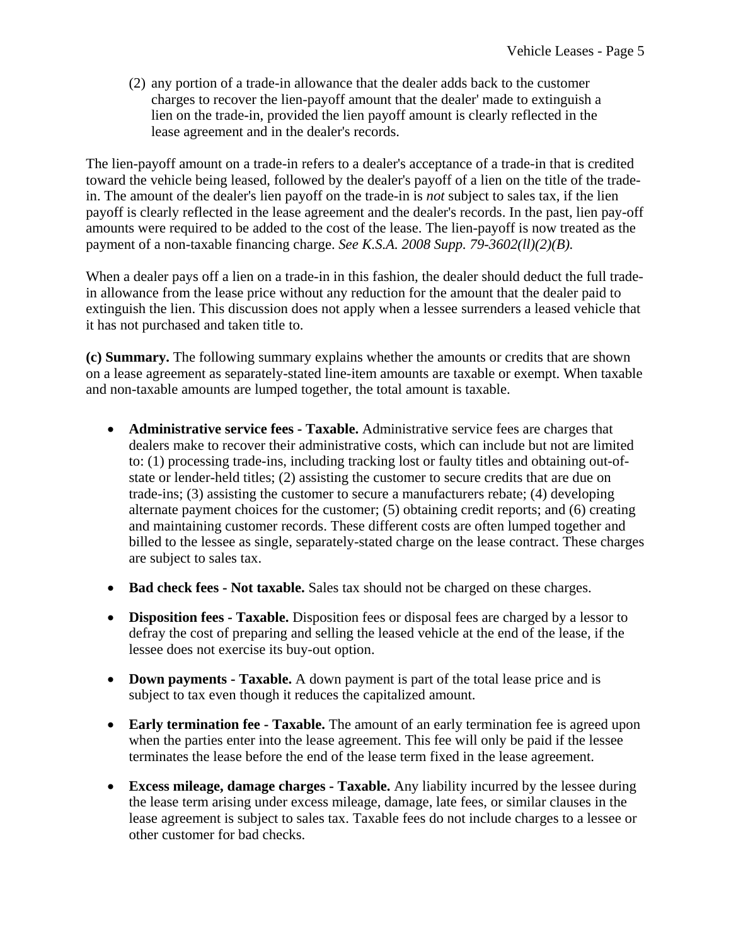(2) any portion of a trade-in allowance that the dealer adds back to the customer charges to recover the lien-payoff amount that the dealer' made to extinguish a lien on the trade-in, provided the lien payoff amount is clearly reflected in the lease agreement and in the dealer's records.

The lien-payoff amount on a trade-in refers to a dealer's acceptance of a trade-in that is credited toward the vehicle being leased, followed by the dealer's payoff of a lien on the title of the tradein. The amount of the dealer's lien payoff on the trade-in is *not* subject to sales tax, if the lien payoff is clearly reflected in the lease agreement and the dealer's records. In the past, lien pay-off amounts were required to be added to the cost of the lease. The lien-payoff is now treated as the payment of a non-taxable financing charge. *See K.S.A. 2008 Supp. 79-3602(ll)(2)(B).*

When a dealer pays off a lien on a trade-in in this fashion, the dealer should deduct the full tradein allowance from the lease price without any reduction for the amount that the dealer paid to extinguish the lien. This discussion does not apply when a lessee surrenders a leased vehicle that it has not purchased and taken title to.

**(c) Summary.** The following summary explains whether the amounts or credits that are shown on a lease agreement as separately-stated line-item amounts are taxable or exempt. When taxable and non-taxable amounts are lumped together, the total amount is taxable.

- **Administrative service fees Taxable.** Administrative service fees are charges that dealers make to recover their administrative costs, which can include but not are limited to: (1) processing trade-ins, including tracking lost or faulty titles and obtaining out-ofstate or lender-held titles; (2) assisting the customer to secure credits that are due on trade-ins; (3) assisting the customer to secure a manufacturers rebate; (4) developing alternate payment choices for the customer; (5) obtaining credit reports; and (6) creating and maintaining customer records. These different costs are often lumped together and billed to the lessee as single, separately-stated charge on the lease contract. These charges are subject to sales tax.
- **Bad check fees Not taxable.** Sales tax should not be charged on these charges.
- **Disposition fees Taxable.** Disposition fees or disposal fees are charged by a lessor to defray the cost of preparing and selling the leased vehicle at the end of the lease, if the lessee does not exercise its buy-out option.
- **Down payments Taxable.** A down payment is part of the total lease price and is subject to tax even though it reduces the capitalized amount.
- **Early termination fee Taxable.** The amount of an early termination fee is agreed upon when the parties enter into the lease agreement. This fee will only be paid if the lessee terminates the lease before the end of the lease term fixed in the lease agreement.
- **Excess mileage, damage charges Taxable.** Any liability incurred by the lessee during the lease term arising under excess mileage, damage, late fees, or similar clauses in the lease agreement is subject to sales tax. Taxable fees do not include charges to a lessee or other customer for bad checks.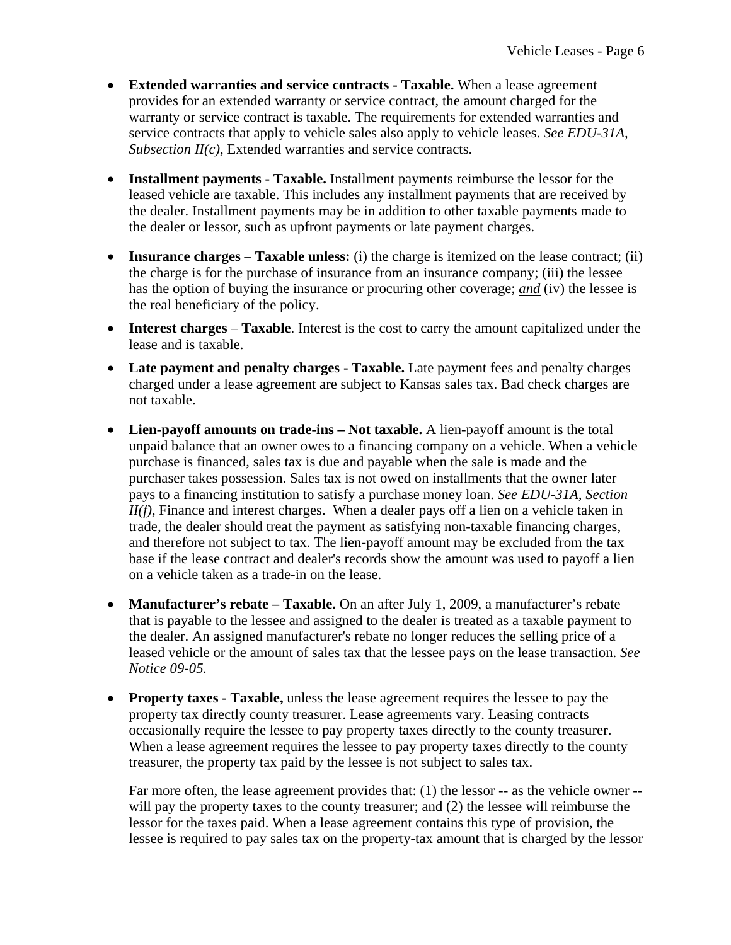- **Extended warranties and service contracts Taxable.** When a lease agreement provides for an extended warranty or service contract, the amount charged for the warranty or service contract is taxable. The requirements for extended warranties and service contracts that apply to vehicle sales also apply to vehicle leases. *See EDU-31A, Subsection II(c), Extended warranties and service contracts.*
- **Installment payments Taxable.** Installment payments reimburse the lessor for the leased vehicle are taxable. This includes any installment payments that are received by the dealer. Installment payments may be in addition to other taxable payments made to the dealer or lessor, such as upfront payments or late payment charges.
- **Insurance charges Taxable unless:** (i) the charge is itemized on the lease contract; (ii) the charge is for the purchase of insurance from an insurance company; (iii) the lessee has the option of buying the insurance or procuring other coverage; *and* (iv) the lessee is the real beneficiary of the policy.
- **Interest charges Taxable**. Interest is the cost to carry the amount capitalized under the lease and is taxable.
- Late payment and penalty charges Taxable. Late payment fees and penalty charges charged under a lease agreement are subject to Kansas sales tax. Bad check charges are not taxable.
- Lien-payoff amounts on trade-ins Not taxable. A lien-payoff amount is the total unpaid balance that an owner owes to a financing company on a vehicle. When a vehicle purchase is financed, sales tax is due and payable when the sale is made and the purchaser takes possession. Sales tax is not owed on installments that the owner later pays to a financing institution to satisfy a purchase money loan. *See EDU-31A, Section II(f)*, Finance and interest charges. When a dealer pays off a lien on a vehicle taken in trade, the dealer should treat the payment as satisfying non-taxable financing charges, and therefore not subject to tax. The lien-payoff amount may be excluded from the tax base if the lease contract and dealer's records show the amount was used to payoff a lien on a vehicle taken as a trade-in on the lease.
- **Manufacturer's rebate Taxable.** On an after July 1, 2009, a manufacturer's rebate that is payable to the lessee and assigned to the dealer is treated as a taxable payment to the dealer. An assigned manufacturer's rebate no longer reduces the selling price of a leased vehicle or the amount of sales tax that the lessee pays on the lease transaction. *See Notice 09-05.*
- **Property taxes Taxable,** unless the lease agreement requires the lessee to pay the property tax directly county treasurer. Lease agreements vary. Leasing contracts occasionally require the lessee to pay property taxes directly to the county treasurer. When a lease agreement requires the lessee to pay property taxes directly to the county treasurer, the property tax paid by the lessee is not subject to sales tax.

Far more often, the lease agreement provides that: (1) the lessor -- as the vehicle owner -will pay the property taxes to the county treasurer; and (2) the lessee will reimburse the lessor for the taxes paid. When a lease agreement contains this type of provision, the lessee is required to pay sales tax on the property-tax amount that is charged by the lessor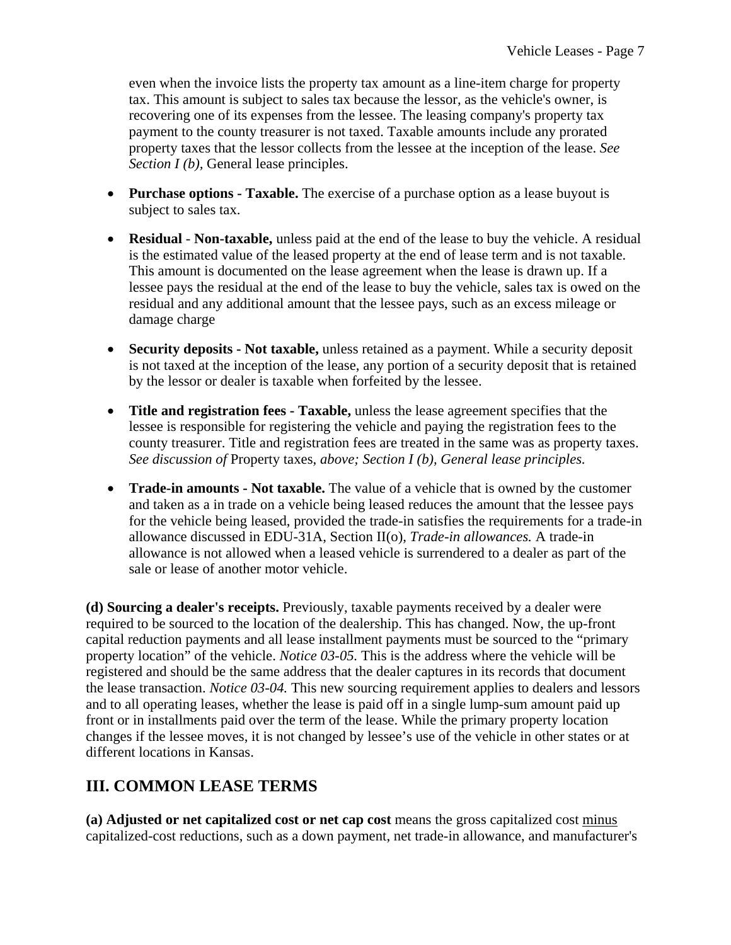even when the invoice lists the property tax amount as a line-item charge for property tax. This amount is subject to sales tax because the lessor, as the vehicle's owner, is recovering one of its expenses from the lessee. The leasing company's property tax payment to the county treasurer is not taxed. Taxable amounts include any prorated property taxes that the lessor collects from the lessee at the inception of the lease. *See Section I (b)*, General lease principles.

- **Purchase options Taxable.** The exercise of a purchase option as a lease buyout is subject to sales tax.
- **Residual Non-taxable,** unless paid at the end of the lease to buy the vehicle. A residual is the estimated value of the leased property at the end of lease term and is not taxable. This amount is documented on the lease agreement when the lease is drawn up. If a lessee pays the residual at the end of the lease to buy the vehicle, sales tax is owed on the residual and any additional amount that the lessee pays, such as an excess mileage or damage charge
- **Security deposits Not taxable,** unless retained as a payment. While a security deposit is not taxed at the inception of the lease, any portion of a security deposit that is retained by the lessor or dealer is taxable when forfeited by the lessee.
- **Title and registration fees Taxable,** unless the lease agreement specifies that the lessee is responsible for registering the vehicle and paying the registration fees to the county treasurer. Title and registration fees are treated in the same was as property taxes. *See discussion of* Property taxes, *above; Section I (b), General lease principles.*
- **Trade-in amounts Not taxable.** The value of a vehicle that is owned by the customer and taken as a in trade on a vehicle being leased reduces the amount that the lessee pays for the vehicle being leased, provided the trade-in satisfies the requirements for a trade-in allowance discussed in EDU-31A, Section II(o), *Trade-in allowances.* A trade-in allowance is not allowed when a leased vehicle is surrendered to a dealer as part of the sale or lease of another motor vehicle.

**(d) Sourcing a dealer's receipts.** Previously, taxable payments received by a dealer were required to be sourced to the location of the dealership. This has changed. Now, the up-front capital reduction payments and all lease installment payments must be sourced to the "primary property location" of the vehicle. *Notice 03-05.* This is the address where the vehicle will be registered and should be the same address that the dealer captures in its records that document the lease transaction. *Notice 03-04.* This new sourcing requirement applies to dealers and lessors and to all operating leases, whether the lease is paid off in a single lump-sum amount paid up front or in installments paid over the term of the lease. While the primary property location changes if the lessee moves, it is not changed by lessee's use of the vehicle in other states or at different locations in Kansas.

## **III. COMMON LEASE TERMS**

**(a) Adjusted or net capitalized cost or net cap cost** means the gross capitalized cost minus capitalized-cost reductions, such as a down payment, net trade-in allowance, and manufacturer's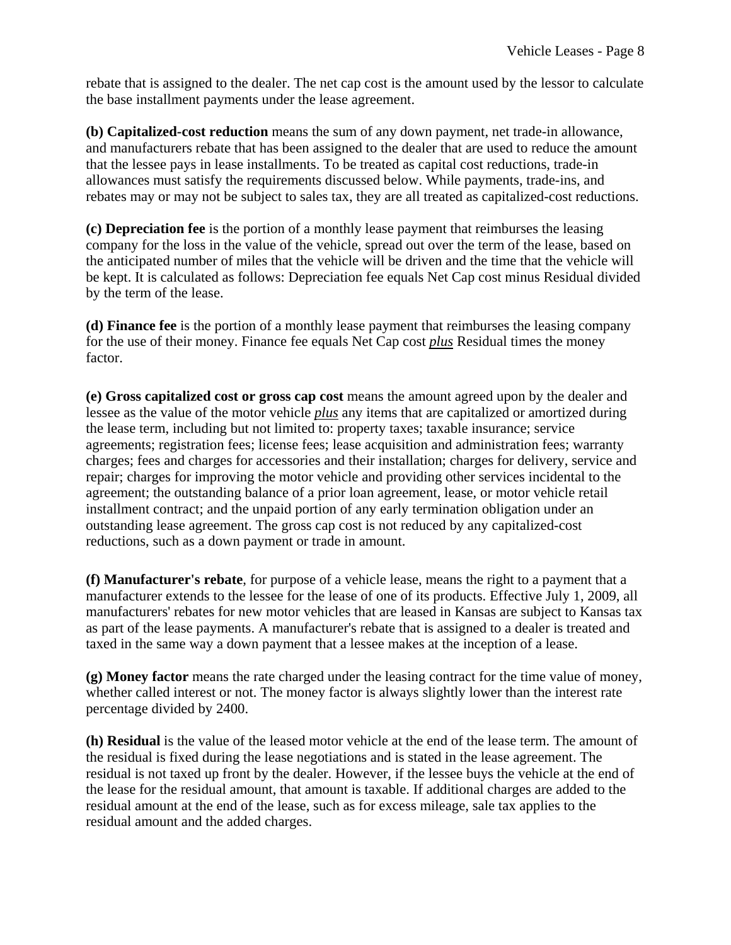rebate that is assigned to the dealer. The net cap cost is the amount used by the lessor to calculate the base installment payments under the lease agreement.

**(b) Capitalized-cost reduction** means the sum of any down payment, net trade-in allowance, and manufacturers rebate that has been assigned to the dealer that are used to reduce the amount that the lessee pays in lease installments. To be treated as capital cost reductions, trade-in allowances must satisfy the requirements discussed below. While payments, trade-ins, and rebates may or may not be subject to sales tax, they are all treated as capitalized-cost reductions.

**(c) Depreciation fee** is the portion of a monthly lease payment that reimburses the leasing company for the loss in the value of the vehicle, spread out over the term of the lease, based on the anticipated number of miles that the vehicle will be driven and the time that the vehicle will be kept. It is calculated as follows: Depreciation fee equals Net Cap cost minus Residual divided by the term of the lease.

**(d) Finance fee** is the portion of a monthly lease payment that reimburses the leasing company for the use of their money. Finance fee equals Net Cap cost *plus* Residual times the money factor.

**(e) Gross capitalized cost or gross cap cost** means the amount agreed upon by the dealer and lessee as the value of the motor vehicle *plus* any items that are capitalized or amortized during the lease term, including but not limited to: property taxes; taxable insurance; service agreements; registration fees; license fees; lease acquisition and administration fees; warranty charges; fees and charges for accessories and their installation; charges for delivery, service and repair; charges for improving the motor vehicle and providing other services incidental to the agreement; the outstanding balance of a prior loan agreement, lease, or motor vehicle retail installment contract; and the unpaid portion of any early termination obligation under an outstanding lease agreement. The gross cap cost is not reduced by any capitalized-cost reductions, such as a down payment or trade in amount.

**(f) Manufacturer's rebate**, for purpose of a vehicle lease, means the right to a payment that a manufacturer extends to the lessee for the lease of one of its products. Effective July 1, 2009, all manufacturers' rebates for new motor vehicles that are leased in Kansas are subject to Kansas tax as part of the lease payments. A manufacturer's rebate that is assigned to a dealer is treated and taxed in the same way a down payment that a lessee makes at the inception of a lease.

**(g) Money factor** means the rate charged under the leasing contract for the time value of money, whether called interest or not. The money factor is always slightly lower than the interest rate percentage divided by 2400.

**(h) Residual** is the value of the leased motor vehicle at the end of the lease term. The amount of the residual is fixed during the lease negotiations and is stated in the lease agreement. The residual is not taxed up front by the dealer. However, if the lessee buys the vehicle at the end of the lease for the residual amount, that amount is taxable. If additional charges are added to the residual amount at the end of the lease, such as for excess mileage, sale tax applies to the residual amount and the added charges.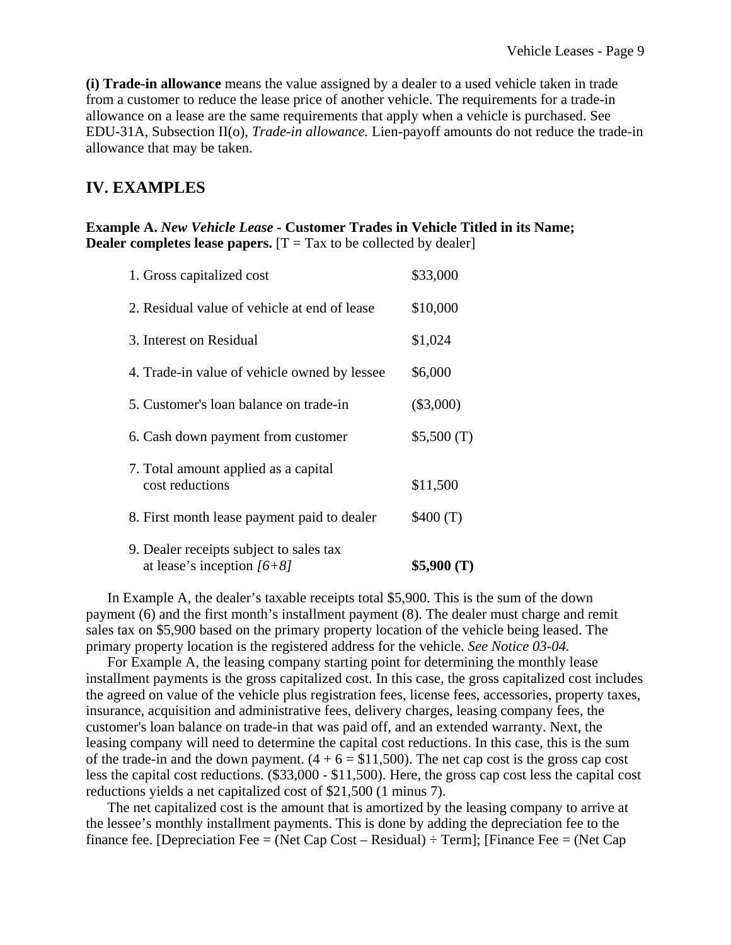**(i) Trade-in allowance** means the value assigned by a dealer to a used vehicle taken in trade from a customer to reduce the lease price of another vehicle. The requirements for a trade-in allowance on a lease are the same requirements that apply when a vehicle is purchased. See EDU-31A, Subsection II(o), *Trade-in allowance.* Lien-payoff amounts do not reduce the trade-in allowance that may be taken.

### **IV. EXAMPLES**

#### **Example A.** *New Vehicle Lease* **- Customer Trades in Vehicle Titled in its Name; Dealer completes lease papers.**  $[T = Tax to be collected by dealer]$

| 1. Gross capitalized cost                                               | \$33,000    |
|-------------------------------------------------------------------------|-------------|
| 2. Residual value of vehicle at end of lease                            | \$10,000    |
| 3. Interest on Residual                                                 | \$1,024     |
| 4. Trade-in value of vehicle owned by lessee                            | \$6,000     |
| 5. Customer's loan balance on trade-in                                  | $(\$3,000)$ |
| 6. Cash down payment from customer                                      | \$5,500(T)  |
| 7. Total amount applied as a capital<br>cost reductions                 | \$11,500    |
| 8. First month lease payment paid to dealer                             | \$400(T)    |
| 9. Dealer receipts subject to sales tax<br>at lease's inception $[6+8]$ | \$5,900(T)  |

 In Example A, the dealer's taxable receipts total \$5,900. This is the sum of the down payment (6) and the first month's installment payment (8). The dealer must charge and remit sales tax on \$5,900 based on the primary property location of the vehicle being leased. The primary property location is the registered address for the vehicle. *See Notice 03-04.* 

 For Example A, the leasing company starting point for determining the monthly lease installment payments is the gross capitalized cost. In this case, the gross capitalized cost includes the agreed on value of the vehicle plus registration fees, license fees, accessories, property taxes, insurance, acquisition and administrative fees, delivery charges, leasing company fees, the customer's loan balance on trade-in that was paid off, and an extended warranty. Next, the leasing company will need to determine the capital cost reductions. In this case, this is the sum of the trade-in and the down payment.  $(4 + 6 = $11,500)$ . The net cap cost is the gross cap cost less the capital cost reductions. (\$33,000 - \$11,500). Here, the gross cap cost less the capital cost reductions yields a net capitalized cost of \$21,500 (1 minus 7).

 The net capitalized cost is the amount that is amortized by the leasing company to arrive at the lessee's monthly installment payments. This is done by adding the depreciation fee to the finance fee. [Depreciation Fee = (Net Cap Cost – Residual)  $\div$  Term]; [Finance Fee = (Net Cap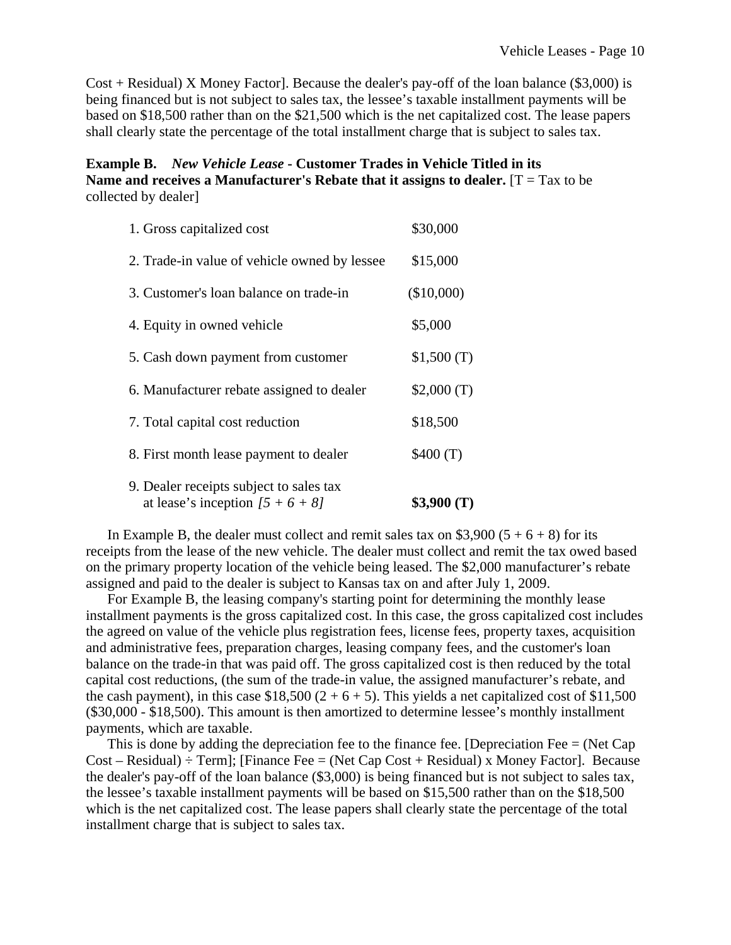$Cost + Residual$ ) X Money Factor]. Because the dealer's pay-off of the loan balance (\$3,000) is being financed but is not subject to sales tax, the lessee's taxable installment payments will be based on \$18,500 rather than on the \$21,500 which is the net capitalized cost. The lease papers shall clearly state the percentage of the total installment charge that is subject to sales tax.

#### **Example B.** *New Vehicle Lease* **- Customer Trades in Vehicle Titled in its Name and receives a Manufacturer's Rebate that it assigns to dealer.** [T = Tax to be collected by dealer]

| 1. Gross capitalized cost                                                     | \$30,000   |
|-------------------------------------------------------------------------------|------------|
| 2. Trade-in value of vehicle owned by lessee                                  | \$15,000   |
| 3. Customer's loan balance on trade-in                                        | (\$10,000) |
| 4. Equity in owned vehicle                                                    | \$5,000    |
| 5. Cash down payment from customer                                            | \$1,500(T) |
| 6. Manufacturer rebate assigned to dealer                                     | \$2,000(T) |
| 7. Total capital cost reduction                                               | \$18,500   |
| 8. First month lease payment to dealer                                        | \$400(T)   |
| 9. Dealer receipts subject to sales tax<br>at lease's inception $[5 + 6 + 8]$ | \$3,900(T) |

In Example B, the dealer must collect and remit sales tax on \$3,900 ( $5 + 6 + 8$ ) for its receipts from the lease of the new vehicle. The dealer must collect and remit the tax owed based on the primary property location of the vehicle being leased. The \$2,000 manufacturer's rebate assigned and paid to the dealer is subject to Kansas tax on and after July 1, 2009.

 For Example B, the leasing company's starting point for determining the monthly lease installment payments is the gross capitalized cost. In this case, the gross capitalized cost includes the agreed on value of the vehicle plus registration fees, license fees, property taxes, acquisition and administrative fees, preparation charges, leasing company fees, and the customer's loan balance on the trade-in that was paid off. The gross capitalized cost is then reduced by the total capital cost reductions, (the sum of the trade-in value, the assigned manufacturer's rebate, and the cash payment), in this case  $$18,500 (2 + 6 + 5)$ . This yields a net capitalized cost of  $$11,500$ (\$30,000 - \$18,500). This amount is then amortized to determine lessee's monthly installment payments, which are taxable.

 This is done by adding the depreciation fee to the finance fee. [Depreciation Fee = (Net Cap Cost – Residual) ÷ Term]; [Finance Fee = (Net Cap Cost + Residual) x Money Factor]. Because the dealer's pay-off of the loan balance (\$3,000) is being financed but is not subject to sales tax, the lessee's taxable installment payments will be based on \$15,500 rather than on the \$18,500 which is the net capitalized cost. The lease papers shall clearly state the percentage of the total installment charge that is subject to sales tax.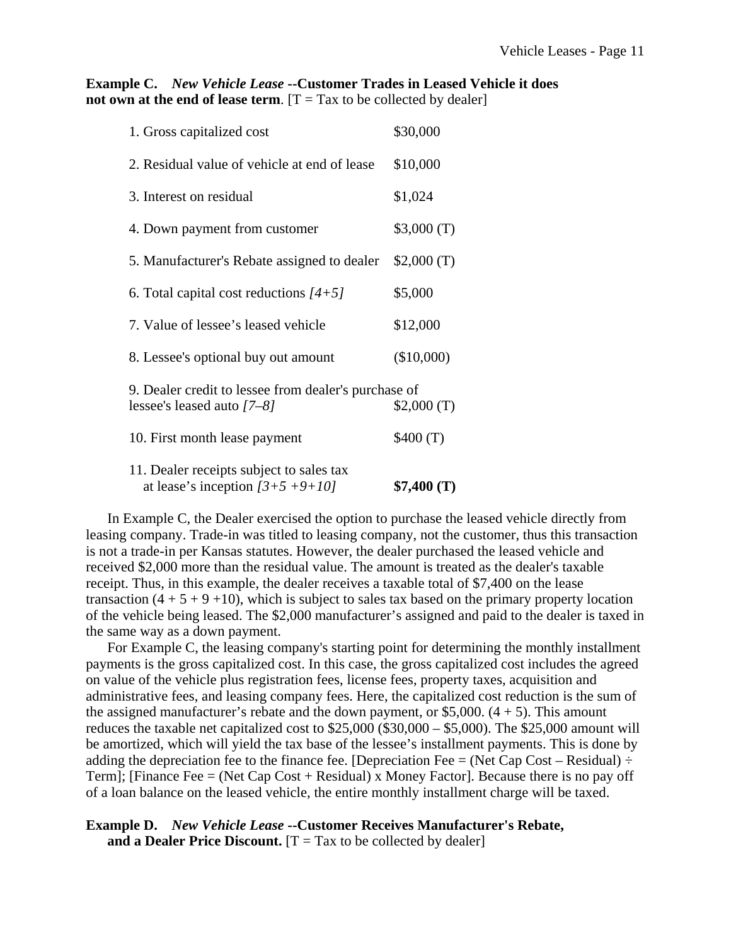#### **Example C.** *New Vehicle Lease* **--Customer Trades in Leased Vehicle it does not own at the end of lease term.**  $[T = Tax to be collected by dealer]$

| 1. Gross capitalized cost                                                            | \$30,000   |
|--------------------------------------------------------------------------------------|------------|
| 2. Residual value of vehicle at end of lease                                         | \$10,000   |
| 3. Interest on residual                                                              | \$1,024    |
| 4. Down payment from customer                                                        | \$3,000(T) |
| 5. Manufacturer's Rebate assigned to dealer                                          | \$2,000(T) |
| 6. Total capital cost reductions $[4+5]$                                             | \$5,000    |
| 7. Value of lessee's leased vehicle                                                  | \$12,000   |
| 8. Lessee's optional buy out amount                                                  | (\$10,000) |
| 9. Dealer credit to lessee from dealer's purchase of<br>lessee's leased auto $[7-8]$ | \$2,000(T) |
| 10. First month lease payment                                                        | \$400(T)   |
| 11. Dealer receipts subject to sales tax<br>at lease's inception $[3+5+9+10]$        | \$7,400(T) |

 In Example C, the Dealer exercised the option to purchase the leased vehicle directly from leasing company. Trade-in was titled to leasing company, not the customer, thus this transaction is not a trade-in per Kansas statutes. However, the dealer purchased the leased vehicle and received \$2,000 more than the residual value. The amount is treated as the dealer's taxable receipt. Thus, in this example, the dealer receives a taxable total of \$7,400 on the lease transaction  $(4 + 5 + 9 +10)$ , which is subject to sales tax based on the primary property location of the vehicle being leased. The \$2,000 manufacturer's assigned and paid to the dealer is taxed in the same way as a down payment.

 For Example C, the leasing company's starting point for determining the monthly installment payments is the gross capitalized cost. In this case, the gross capitalized cost includes the agreed on value of the vehicle plus registration fees, license fees, property taxes, acquisition and administrative fees, and leasing company fees. Here, the capitalized cost reduction is the sum of the assigned manufacturer's rebate and the down payment, or  $$5,000$ .  $(4 + 5)$ . This amount reduces the taxable net capitalized cost to \$25,000 (\$30,000 – \$5,000). The \$25,000 amount will be amortized, which will yield the tax base of the lessee's installment payments. This is done by adding the depreciation fee to the finance fee. [Depreciation Fee = (Net Cap Cost – Residual)  $\div$ Term]; [Finance Fee  $=$  (Net Cap Cost + Residual) x Money Factor]. Because there is no pay off of a loan balance on the leased vehicle, the entire monthly installment charge will be taxed.

## **Example D.** *New Vehicle Lease* **--Customer Receives Manufacturer's Rebate,**

**and a Dealer Price Discount.**  $[T = Tax to be collected by dealer]$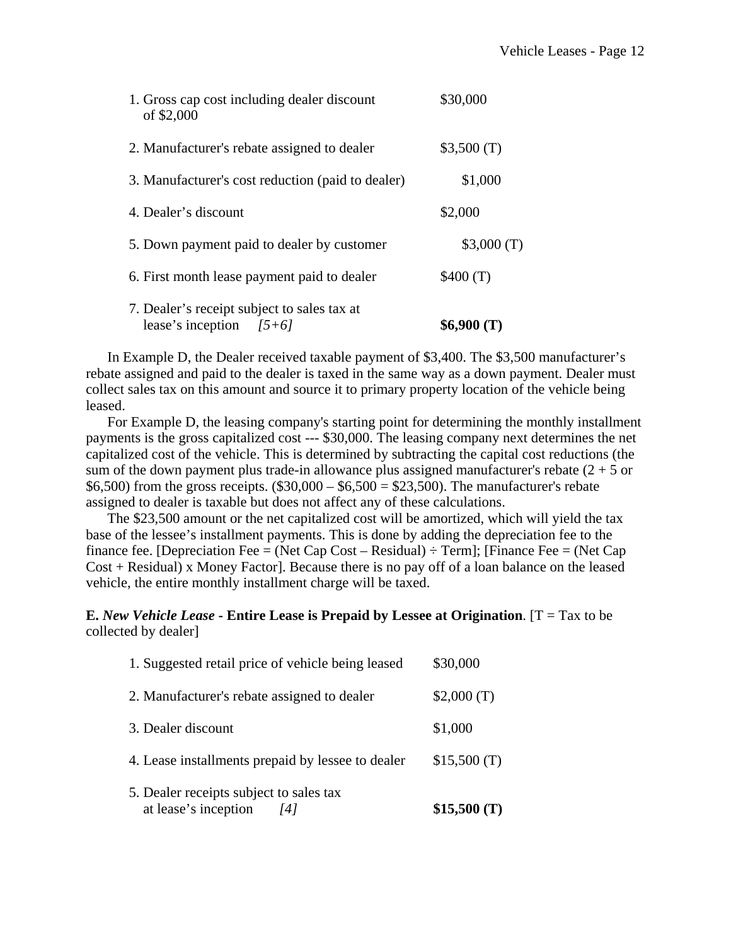| 1. Gross cap cost including dealer discount<br>of \$2,000                   | \$30,000   |
|-----------------------------------------------------------------------------|------------|
| 2. Manufacturer's rebate assigned to dealer                                 | \$3,500(T) |
| 3. Manufacturer's cost reduction (paid to dealer)                           | \$1,000    |
| 4. Dealer's discount                                                        | \$2,000    |
| 5. Down payment paid to dealer by customer                                  | \$3,000(T) |
| 6. First month lease payment paid to dealer                                 | \$400(T)   |
| 7. Dealer's receipt subject to sales tax at<br>lease's inception<br>$[5+6]$ | \$6,900(T) |

 In Example D, the Dealer received taxable payment of \$3,400. The \$3,500 manufacturer's rebate assigned and paid to the dealer is taxed in the same way as a down payment. Dealer must collect sales tax on this amount and source it to primary property location of the vehicle being leased.

 For Example D, the leasing company's starting point for determining the monthly installment payments is the gross capitalized cost --- \$30,000. The leasing company next determines the net capitalized cost of the vehicle. This is determined by subtracting the capital cost reductions (the sum of the down payment plus trade-in allowance plus assigned manufacturer's rebate  $(2 + 5)$  or \$6,500) from the gross receipts.  $(\$30,000 - \$6,500 = \$23,500)$ . The manufacturer's rebate assigned to dealer is taxable but does not affect any of these calculations.

 The \$23,500 amount or the net capitalized cost will be amortized, which will yield the tax base of the lessee's installment payments. This is done by adding the depreciation fee to the finance fee. [Depreciation Fee = (Net Cap Cost – Residual)  $\div$  Term]; [Finance Fee = (Net Cap Cost + Residual) x Money Factor]. Because there is no pay off of a loan balance on the leased vehicle, the entire monthly installment charge will be taxed.

#### **E.** *New Vehicle Lease* **- Entire Lease is Prepaid by Lessee at Origination**. [T = Tax to be collected by dealer]

| 5. Dealer receipts subject to sales tax<br>at lease's inception<br>14 I | \$15,500(T) |
|-------------------------------------------------------------------------|-------------|
| 4. Lease installments prepaid by lessee to dealer                       | \$15,500(T) |
| 3. Dealer discount                                                      | \$1,000     |
| 2. Manufacturer's rebate assigned to dealer                             | \$2,000(T)  |
| 1. Suggested retail price of vehicle being leased                       | \$30,000    |